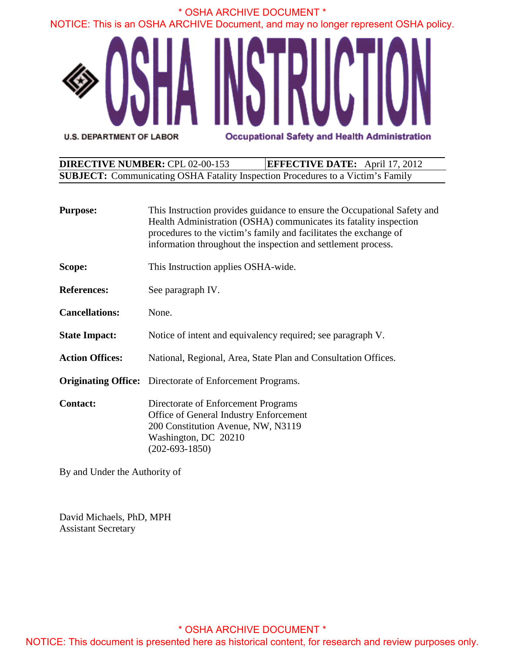

| <b>DIRECTIVE NUMBER: CPL 02-00-153</b>                                                 | <b>EFFECTIVE DATE:</b> April 17, 2012 |
|----------------------------------------------------------------------------------------|---------------------------------------|
| <b>SUBJECT:</b> Communicating OSHA Fatality Inspection Procedures to a Victim's Family |                                       |

| <b>Purpose:</b>        | This Instruction provides guidance to ensure the Occupational Safety and<br>Health Administration (OSHA) communicates its fatality inspection<br>procedures to the victim's family and facilitates the exchange of<br>information throughout the inspection and settlement process. |  |
|------------------------|-------------------------------------------------------------------------------------------------------------------------------------------------------------------------------------------------------------------------------------------------------------------------------------|--|
| Scope:                 | This Instruction applies OSHA-wide.                                                                                                                                                                                                                                                 |  |
| <b>References:</b>     | See paragraph IV.                                                                                                                                                                                                                                                                   |  |
| <b>Cancellations:</b>  | None.                                                                                                                                                                                                                                                                               |  |
| <b>State Impact:</b>   | Notice of intent and equivalency required; see paragraph V.                                                                                                                                                                                                                         |  |
| <b>Action Offices:</b> | National, Regional, Area, State Plan and Consultation Offices.                                                                                                                                                                                                                      |  |
|                        | <b>Originating Office:</b> Directorate of Enforcement Programs.                                                                                                                                                                                                                     |  |
| <b>Contact:</b>        | Directorate of Enforcement Programs<br>Office of General Industry Enforcement<br>200 Constitution Avenue, NW, N3119<br>Washington, DC 20210<br>$(202 - 693 - 1850)$                                                                                                                 |  |

By and Under the Authority of

David Michaels, PhD, MPH Assistant Secretary

### \* OSHA ARCHIVE DOCUMENT \*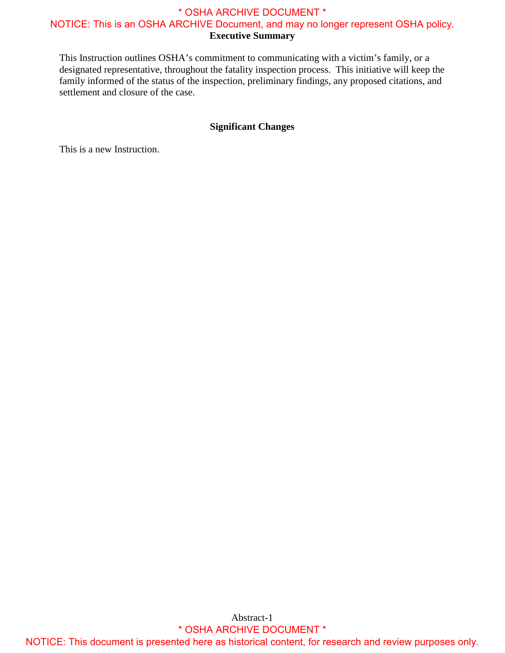settlement and closure of the case. This Instruction outlines OSHA's commitment to communicating with a victim's family, or a designated representative, throughout the fatality inspection process. This initiative will keep the family informed of the status of the inspection, preliminary findings, any proposed citations, and

#### **Significant Changes**

This is a new Instruction.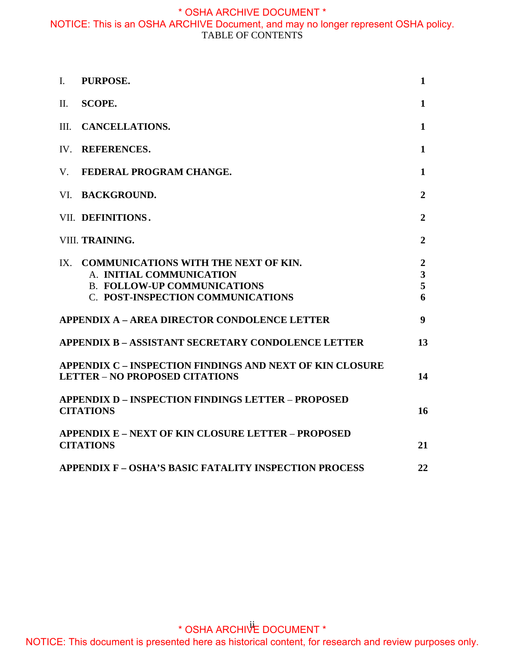| $\mathbf{I}$ . | PURPOSE.                                                                                                                                        | 1                                          |  |
|----------------|-------------------------------------------------------------------------------------------------------------------------------------------------|--------------------------------------------|--|
| II.            | <b>SCOPE.</b>                                                                                                                                   | $\mathbf{1}$                               |  |
| III.           | <b>CANCELLATIONS.</b>                                                                                                                           | $\mathbf{1}$                               |  |
| IV.            | <b>REFERENCES.</b>                                                                                                                              | $\mathbf{1}$                               |  |
| $V_{\cdot}$    | FEDERAL PROGRAM CHANGE.                                                                                                                         | $\mathbf{1}$                               |  |
| VI.            | <b>BACKGROUND.</b>                                                                                                                              | $\boldsymbol{2}$                           |  |
|                | VII. DEFINITIONS.                                                                                                                               | $\overline{2}$                             |  |
|                | VIII. TRAINING.                                                                                                                                 | $\overline{2}$                             |  |
|                | IX. COMMUNICATIONS WITH THE NEXT OF KIN.<br>A. INITIAL COMMUNICATION<br><b>B. FOLLOW-UP COMMUNICATIONS</b><br>C. POST-INSPECTION COMMUNICATIONS | $\boldsymbol{2}$<br>$\mathbf{3}$<br>5<br>6 |  |
|                | APPENDIX A – AREA DIRECTOR CONDOLENCE LETTER                                                                                                    | 9                                          |  |
|                | <b>APPENDIX B - ASSISTANT SECRETARY CONDOLENCE LETTER</b>                                                                                       | 13                                         |  |
|                | <b>APPENDIX C – INSPECTION FINDINGS AND NEXT OF KIN CLOSURE</b><br><b>LETTER - NO PROPOSED CITATIONS</b>                                        | 14                                         |  |
|                | <b>APPENDIX D – INSPECTION FINDINGS LETTER – PROPOSED</b><br><b>CITATIONS</b>                                                                   | 16                                         |  |
|                | <b>APPENDIX E – NEXT OF KIN CLOSURE LETTER – PROPOSED</b><br><b>CITATIONS</b>                                                                   | 21                                         |  |
|                | <b>APPENDIX F - OSHA'S BASIC FATALITY INSPECTION PROCESS</b>                                                                                    | 22                                         |  |

\* OSHA ARCHIVE DOCUMENT \*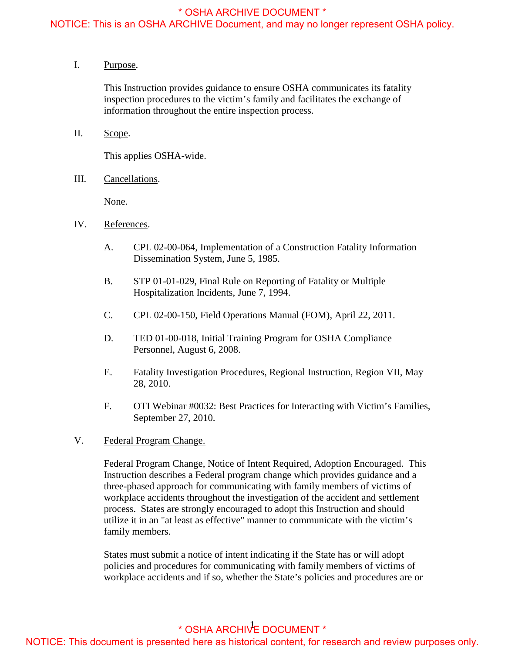#### <span id="page-3-0"></span>NOTICE: This is an OSHA ARCHIVE Document, and may no longer represent OSHA policy.

I. Purpose.

This Instruction provides guidance to ensure OSHA communicates its fatality inspection procedures to the victim's family and facilitates the exchange of information throughout the entire inspection process.

II. Scope.

This applies OSHA-wide.

III. Cancellations.

None.

- IV. References.
	- A. CPL 02-00-064, Implementation of a Construction Fatality Information Dissemination System, June 5, 1985.
	- B. STP 01-01-029, Final Rule on Reporting of Fatality or Multiple Hospitalization Incidents, June 7, 1994.
	- C. CPL 02-00-150, Field Operations Manual (FOM), April 22, 2011.
	- D. TED 01-00-018, Initial Training Program for OSHA Compliance Personnel, August 6, 2008.
	- E. Fatality Investigation Procedures, Regional Instruction, Region VII, May 28, 2010.
	- F. OTI Webinar #0032: Best Practices for Interacting with Victim's Families, September 27, 2010.
- V. Federal Program Change.

Federal Program Change, Notice of Intent Required, Adoption Encouraged. This Instruction describes a Federal program change which provides guidance and a three-phased approach for communicating with family members of victims of workplace accidents throughout the investigation of the accident and settlement process. States are strongly encouraged to adopt this Instruction and should utilize it in an "at least as effective" manner to communicate with the victim's family members.

States must submit a notice of intent indicating if the State has or will adopt policies and procedures for communicating with family members of victims of workplace accidents and if so, whether the State's policies and procedures are or

# \* OSHA ARCHIVE DOCUMENT \*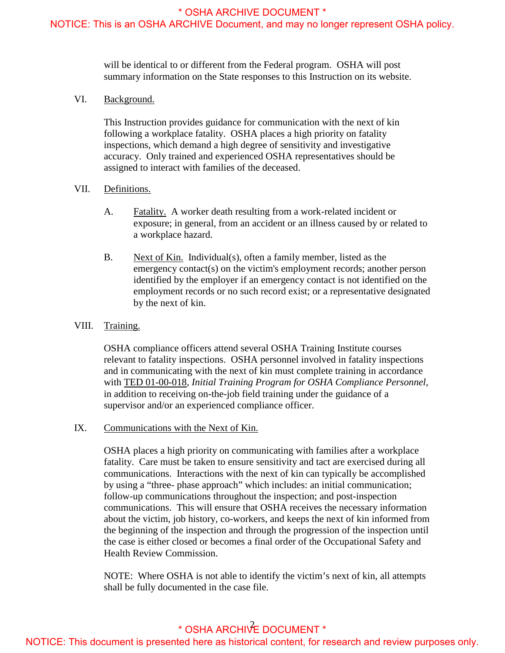<span id="page-4-0"></span>NOTICE: This is an OSHA ARCHIVE Document, and may no longer represent OSHA policy.

will be identical to or different from the Federal program. OSHA will post summary information on the State responses to this Instruction on its website.

VI. Background.

This Instruction provides guidance for communication with the next of kin following a workplace fatality. OSHA places a high priority on fatality inspections, which demand a high degree of sensitivity and investigative accuracy. Only trained and experienced OSHA representatives should be assigned to interact with families of the deceased.

#### VII. Definitions.

- A. Fatality. A worker death resulting from a work-related incident or exposure; in general, from an accident or an illness caused by or related to a workplace hazard.
- B. Next of Kin. Individual(s), often a family member, listed as the emergency contact(s) on the victim's employment records; another person identified by the employer if an emergency contact is not identified on the employment records or no such record exist; or a representative designated by the next of kin.

#### VIII. Training.

OSHA compliance officers attend several OSHA Training Institute courses relevant to fatality inspections. OSHA personnel involved in fatality inspections and in communicating with the next of kin must complete training in accordance with TED 01-00-018, *Initial Training Program for OSHA Compliance Personnel*, in addition to receiving on-the-job field training under the guidance of a supervisor and/or an experienced compliance officer.

IX. Communications with the Next of Kin.

OSHA places a high priority on communicating with families after a workplace fatality. Care must be taken to ensure sensitivity and tact are exercised during all communications. Interactions with the next of kin can typically be accomplished by using a "three- phase approach" which includes: an initial communication; follow-up communications throughout the inspection; and post-inspection communications. This will ensure that OSHA receives the necessary information about the victim, job history, co-workers, and keeps the next of kin informed from the beginning of the inspection and through the progression of the inspection until the case is either closed or becomes a final order of the Occupational Safety and Health Review Commission.

 NOTE: Where OSHA is not able to identify the victim's next of kin, all attempts shall be fully documented in the case file.<br>  $*$  OSHA APCHU<sup>2</sup>E De

# \* OSHA ARCHIVE DOCUMENT \*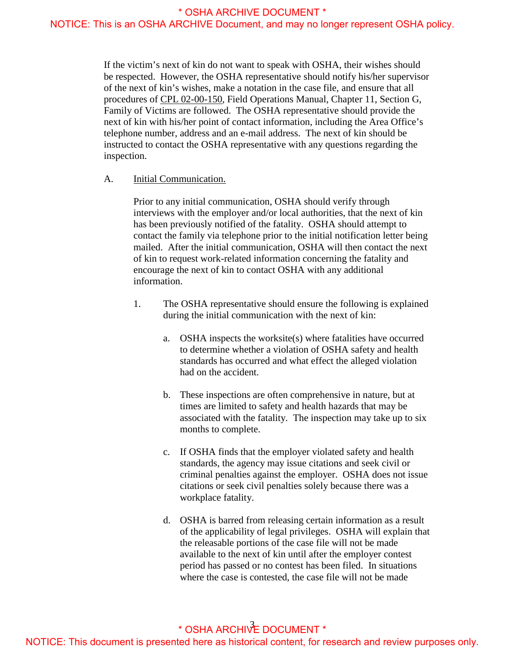<span id="page-5-0"></span>If the victim's next of kin do not want to speak with OSHA, their wishes should be respected. However, the OSHA representative should notify his/her supervisor of the next of kin's wishes, make a notation in the case file, and ensure that all procedures of CPL 02-00-150, Field Operations Manual, Chapter 11, Section G, Family of Victims are followed. The OSHA representative should provide the next of kin with his/her point of contact information, including the Area Office's telephone number, address and an e-mail address. The next of kin should be instructed to contact the OSHA representative with any questions regarding the inspection.

A. Initial Communication.

Prior to any initial communication, OSHA should verify through interviews with the employer and/or local authorities, that the next of kin has been previously notified of the fatality. OSHA should attempt to contact the family via telephone prior to the initial notification letter being mailed. After the initial communication, OSHA will then contact the next of kin to request work-related information concerning the fatality and encourage the next of kin to contact OSHA with any additional information.

- 1. The OSHA representative should ensure the following is explained during the initial communication with the next of kin:
	- a. OSHA inspects the worksite(s) where fatalities have occurred to determine whether a violation of OSHA safety and health standards has occurred and what effect the alleged violation had on the accident.
	- times are limited to safety and health hazards that may be months to complete. b. These inspections are often comprehensive in nature, but at associated with the fatality. The inspection may take up to six
	- workplace fatality. c. If OSHA finds that the employer violated safety and health standards, the agency may issue citations and seek civil or criminal penalties against the employer. OSHA does not issue citations or seek civil penalties solely because there was a
	- d. OSHA is barred from releasing certain information as a result of the applicability of legal privileges. OSHA will explain that the releasable portions of the case file will not be made available to the next of kin until after the employer contest period has passed or no contest has been filed. In situations where the case is contested, the case file will not be made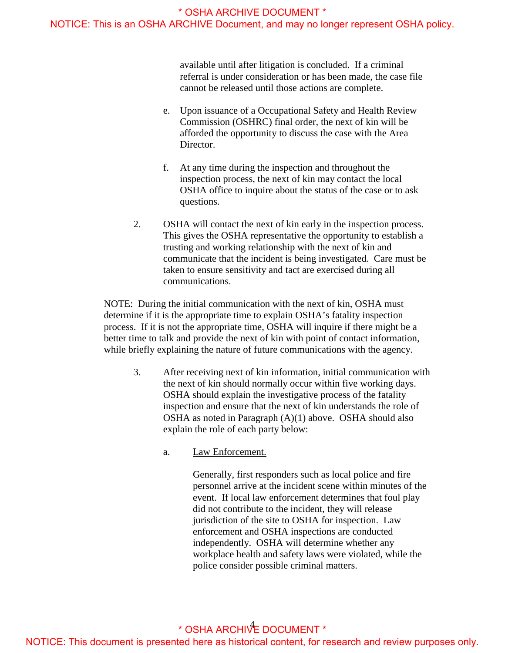available until after litigation is concluded. If a criminal referral is under consideration or has been made, the case file cannot be released until those actions are complete.

- e. Upon issuance of a Occupational Safety and Health Review Commission (OSHRC) final order, the next of kin will be afforded the opportunity to discuss the case with the Area Director.
- f. At any time during the inspection and throughout the inspection process, the next of kin may contact the local OSHA office to inquire about the status of the case or to ask questions.
- 2. OSHA will contact the next of kin early in the inspection process. This gives the OSHA representative the opportunity to establish a trusting and working relationship with the next of kin and communicate that the incident is being investigated. Care must be taken to ensure sensitivity and tact are exercised during all communications.

NOTE: During the initial communication with the next of kin, OSHA must determine if it is the appropriate time to explain OSHA's fatality inspection process. If it is not the appropriate time, OSHA will inquire if there might be a better time to talk and provide the next of kin with point of contact information, while briefly explaining the nature of future communications with the agency.

- 3. After receiving next of kin information, initial communication with the next of kin should normally occur within five working days. OSHA should explain the investigative process of the fatality inspection and ensure that the next of kin understands the role of OSHA as noted in Paragraph (A)(1) above. OSHA should also explain the role of each party below:
	- a. Law Enforcement.

Generally, first responders such as local police and fire personnel arrive at the incident scene within minutes of the event. If local law enforcement determines that foul play did not contribute to the incident, they will release jurisdiction of the site to OSHA for inspection. Law enforcement and OSHA inspections are conducted independently. OSHA will determine whether any workplace health and safety laws were violated, while the police consider possible criminal matters.

# 4 \* OSHA ARCHIVE DOCUMENT \* NOTICE: This document is presented here as historical content, for research and review purposes only.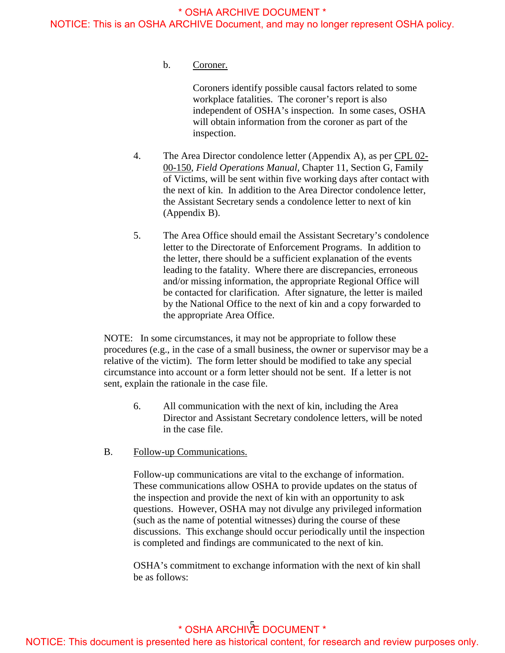<span id="page-7-0"></span>b. Coroner.

Coroners identify possible causal factors related to some workplace fatalities. The coroner's report is also independent of OSHA's inspection. In some cases, OSHA will obtain information from the coroner as part of the inspection.

- 4. The Area Director condolence letter (Appendix A), as per CPL 02-00-150, *Field Operations Manual,* Chapter 11, Section G, Family of Victims, will be sent within five working days after contact with the next of kin. In addition to the Area Director condolence letter, the Assistant Secretary sends a condolence letter to next of kin (Appendix B).
- letter to the Directorate of Enforcement Programs. In addition to 5. The Area Office should email the Assistant Secretary's condolence the letter, there should be a sufficient explanation of the events leading to the fatality. Where there are discrepancies, erroneous and/or missing information, the appropriate Regional Office will be contacted for clarification. After signature, the letter is mailed by the National Office to the next of kin and a copy forwarded to the appropriate Area Office.

NOTE: In some circumstances, it may not be appropriate to follow these procedures (e.g., in the case of a small business, the owner or supervisor may be a relative of the victim). The form letter should be modified to take any special circumstance into account or a form letter should not be sent. If a letter is not sent, explain the rationale in the case file.

- 6. All communication with the next of kin, including the Area Director and Assistant Secretary condolence letters, will be noted in the case file.
- B. Follow-up Communications.

Follow-up communications are vital to the exchange of information. These communications allow OSHA to provide updates on the status of the inspection and provide the next of kin with an opportunity to ask questions. However, OSHA may not divulge any privileged information (such as the name of potential witnesses) during the course of these discussions. This exchange should occur periodically until the inspection is completed and findings are communicated to the next of kin.

OSHA's commitment to exchange information with the next of kin shall be as follows:

## 5 \* OSHA ARCHIVE DOCUMENT \* NOTICE: This document is presented here as historical content, for research and review purposes only.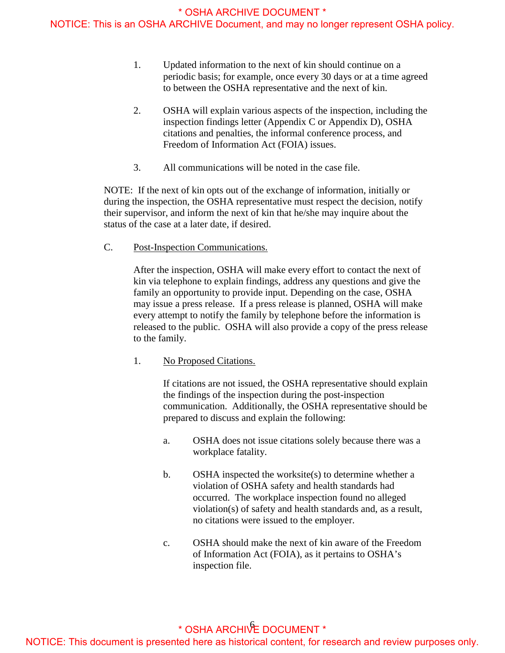<span id="page-8-0"></span>NOTICE: This is an OSHA ARCHIVE Document, and may no longer represent OSHA policy.

- 1. Updated information to the next of kin should continue on a periodic basis; for example, once every 30 days or at a time agreed to between the OSHA representative and the next of kin.
- 2. OSHA will explain various aspects of the inspection, including the inspection findings letter (Appendix C or Appendix D), OSHA citations and penalties, the informal conference process, and Freedom of Information Act (FOIA) issues.
- 3. All communications will be noted in the case file.

NOTE: If the next of kin opts out of the exchange of information, initially or during the inspection, the OSHA representative must respect the decision, notify their supervisor, and inform the next of kin that he/she may inquire about the status of the case at a later date, if desired.

Post-Inspection Communications.

C. Post-Inspection Communications.<br>After the inspection, OSHA will make every effort to contact the next of kin via telephone to explain findings, address any questions and give the family an opportunity to provide input. Depending on the case, OSHA may issue a press release. If a press release is planned, OSHA will make every attempt to notify the family by telephone before the information is released to the public. OSHA will also provide a copy of the press release to the family.

**No Proposed Citations.** 

1. No Proposed Citations.<br>If citations are not issued, the OSHA representative should explain the findings of the inspection during the post-inspection communication. Additionally, the OSHA representative should be prepared to discuss and explain the following:

- a. OSHA does not issue citations solely because there was a workplace fatality.
- b. OSHA inspected the worksite(s) to determine whether a violation of OSHA safety and health standards had occurred. The workplace inspection found no alleged violation(s) of safety and health standards and, as a result, no citations were issued to the employer.
- c. OSHA should make the next of kin aware of the Freedom of Information Act (FOIA), as it pertains to OSHA's inspection file.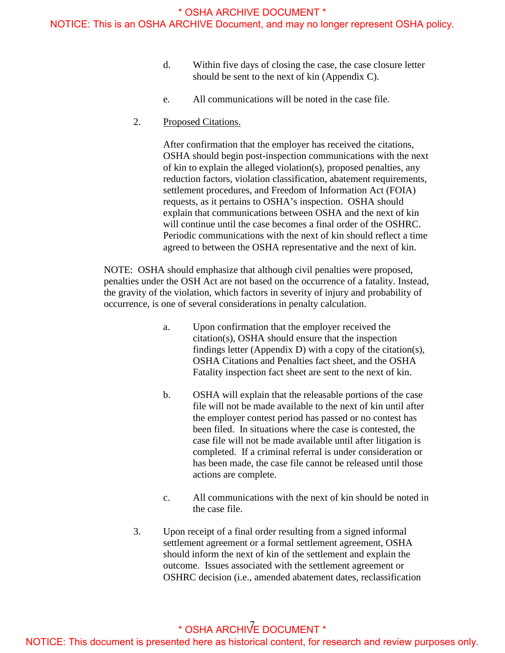- d. Within five days of closing the case, the case closure letter should be sent to the next of kin (Appendix C).
- e. All communications will be noted in the case file.
- 2. Proposed Citations.

 Periodic communications with the next of kin should reflect a time agreed to between the OSHA representative and the next of kin. After confirmation that the employer has received the citations, OSHA should begin post-inspection communications with the next of kin to explain the alleged violation(s), proposed penalties, any reduction factors, violation classification, abatement requirements, settlement procedures, and Freedom of Information Act (FOIA) requests, as it pertains to OSHA's inspection. OSHA should explain that communications between OSHA and the next of kin will continue until the case becomes a final order of the OSHRC.

NOTE: OSHA should emphasize that although civil penalties were proposed, penalties under the OSH Act are not based on the occurrence of a fatality. Instead, the gravity of the violation, which factors in severity of injury and probability of occurrence, is one of several considerations in penalty calculation.

- a. Upon confirmation that the employer received the citation(s), OSHA should ensure that the inspection findings letter (Appendix D) with a copy of the citation(s), OSHA Citations and Penalties fact sheet, and the OSHA Fatality inspection fact sheet are sent to the next of kin.
- b. OSHA will explain that the releasable portions of the case file will not be made available to the next of kin until after the employer contest period has passed or no contest has been filed. In situations where the case is contested, the case file will not be made available until after litigation is completed. If a criminal referral is under consideration or has been made, the case file cannot be released until those actions are complete.
- c. All communications with the next of kin should be noted in the case file.
- 3. Upon receipt of a final order resulting from a signed informal settlement agreement or a formal settlement agreement, OSHA should inform the next of kin of the settlement and explain the outcome. Issues associated with the settlement agreement or OSHRC decision (i.e., amended abatement dates, reclassification

# $^*$  OSHA ARCHIVE DOCUMENT  $^*$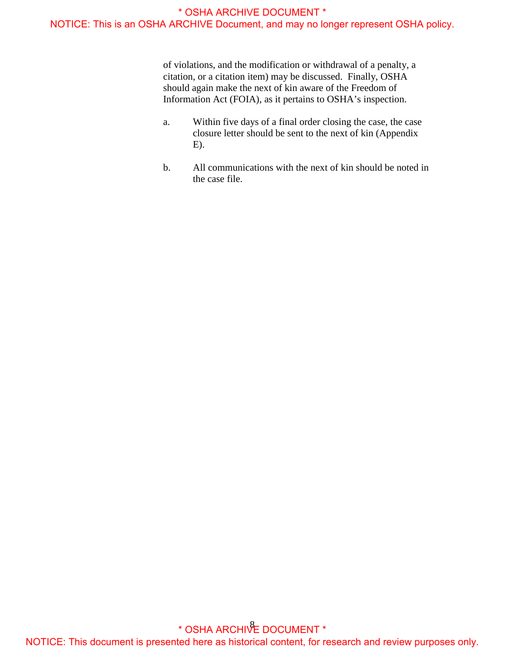of violations, and the modification or withdrawal of a penalty, a citation, or a citation item) may be discussed. Finally, OSHA should again make the next of kin aware of the Freedom of Information Act (FOIA), as it pertains to OSHA's inspection.

- a. Within five days of a final order closing the case, the case closure letter should be sent to the next of kin (Appendix E).
- b. All communications with the next of kin should be noted in the case file.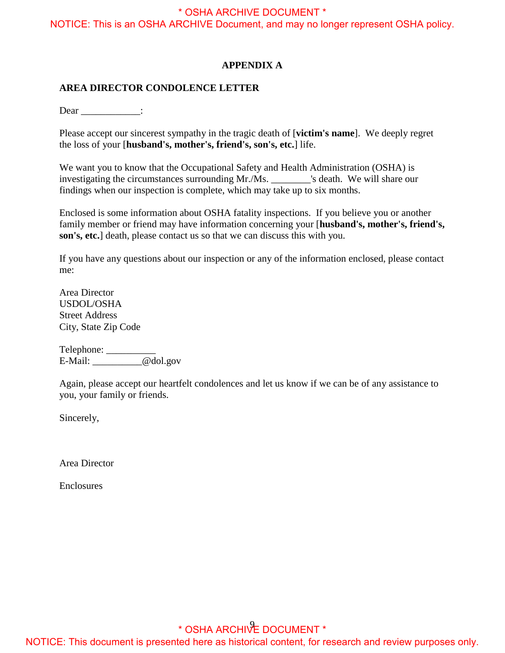<span id="page-11-0"></span>NOTICE: This is an OSHA ARCHIVE Document, and may no longer represent OSHA policy.

#### **APPENDIX A**

#### **AREA DIRECTOR CONDOLENCE LETTER**

Dear \_\_\_\_\_\_\_\_\_\_\_\_\_:

 Please accept our sincerest sympathy in the tragic death of [**victim's name**]. We deeply regret the loss of your [**husband's, mother's, friend's, son's, etc.**] life.

We want you to know that the Occupational Safety and Health Administration (OSHA) is investigating the circumstances surrounding Mr./Ms. \_\_\_\_\_\_\_\_'s death. We will share our findings when our inspection is complete, which may take up to six months.

Enclosed is some information about OSHA fatality inspections. If you believe you or another family member or friend may have information concerning your [**husband's, mother's, friend's, son's, etc.**] death, please contact us so that we can discuss this with you.

If you have any questions about our inspection or any of the information enclosed, please contact me:

Area Director USDOL/OSHA Street Address City, State Zip Code

Telephone: \_\_\_\_\_\_\_\_\_\_\_\_\_ E-Mail: \_\_\_\_\_\_\_\_\_\_@dol.gov

Again, please accept our heartfelt condolences and let us know if we can be of any assistance to you, your family or friends.

Sincerely,

Area Director

**Enclosures**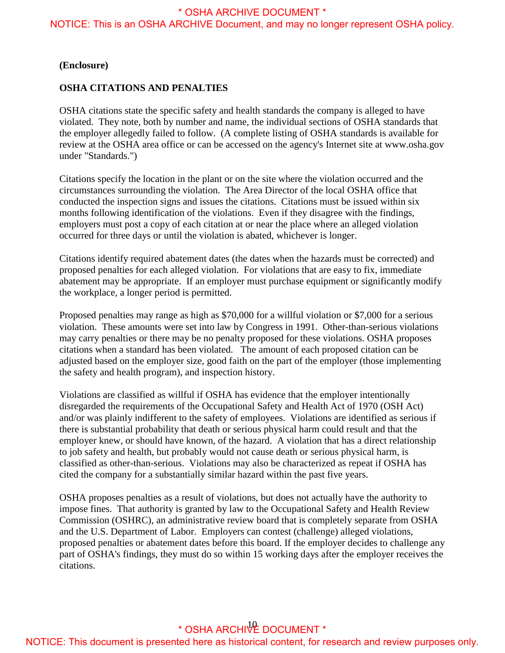NOTICE: This is an OSHA ARCHIVE Document, and may no longer represent OSHA policy.

#### **(Enclosure)**

#### **OSHA CITATIONS AND PENALTIES**

OSHA citations state the specific safety and health standards the company is alleged to have violated. They note, both by number and name, the individual sections of OSHA standards that the employer allegedly failed to follow. (A complete listing of OSHA standards is available for review at the OSHA area office or can be accessed on the agency's Internet site at <www.osha.gov> under "Standards.")

Citations specify the location in the plant or on the site where the violation occurred and the circumstances surrounding the violation. The Area Director of the local OSHA office that conducted the inspection signs and issues the citations. Citations must be issued within six months following identification of the violations. Even if they disagree with the findings, employers must post a copy of each citation at or near the place where an alleged violation occurred for three days or until the violation is abated, whichever is longer.

Citations identify required abatement dates (the dates when the hazards must be corrected) and proposed penalties for each alleged violation. For violations that are easy to fix, immediate abatement may be appropriate. If an employer must purchase equipment or significantly modify the workplace, a longer period is permitted.

Proposed penalties may range as high as \$70,000 for a willful violation or \$7,000 for a serious violation. These amounts were set into law by Congress in 1991. Other-than-serious violations may carry penalties or there may be no penalty proposed for these violations. OSHA proposes citations when a standard has been violated. The amount of each proposed citation can be adjusted based on the employer size, good faith on the part of the employer (those implementing the safety and health program), and inspection history.

Violations are classified as willful if OSHA has evidence that the employer intentionally disregarded the requirements of the Occupational Safety and Health Act of 1970 (OSH Act) and/or was plainly indifferent to the safety of employees. Violations are identified as serious if there is substantial probability that death or serious physical harm could result and that the employer knew, or should have known, of the hazard. A violation that has a direct relationship to job safety and health, but probably would not cause death or serious physical harm, is classified as other-than-serious. Violations may also be characterized as repeat if OSHA has cited the company for a substantially similar hazard within the past five years.

OSHA proposes penalties as a result of violations, but does not actually have the authority to impose fines. That authority is granted by law to the Occupational Safety and Health Review Commission (OSHRC), an administrative review board that is completely separate from OSHA and the U.S. Department of Labor. Employers can contest (challenge) alleged violations, proposed penalties or abatement dates before this board. If the employer decides to challenge any part of OSHA's findings, they must do so within 15 working days after the employer receives the citations.

# 10 \* OSHA ARCHIVE DOCUMENT \*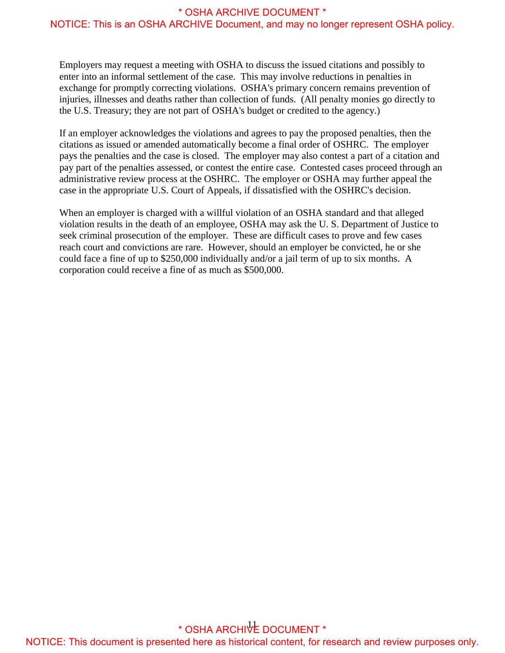Employers may request a meeting with OSHA to discuss the issued citations and possibly to enter into an informal settlement of the case. This may involve reductions in penalties in exchange for promptly correcting violations. OSHA's primary concern remains prevention of injuries, illnesses and deaths rather than collection of funds. (All penalty monies go directly to the U.S. Treasury; they are not part of OSHA's budget or credited to the agency.)

If an employer acknowledges the violations and agrees to pay the proposed penalties, then the citations as issued or amended automatically become a final order of OSHRC. The employer pays the penalties and the case is closed. The employer may also contest a part of a citation and pay part of the penalties assessed, or contest the entire case. Contested cases proceed through an administrative review process at the OSHRC. The employer or OSHA may further appeal the case in the appropriate U.S. Court of Appeals, if dissatisfied with the OSHRC's decision.

When an employer is charged with a willful violation of an OSHA standard and that alleged violation results in the death of an employee, OSHA may ask the U. S. Department of Justice to seek criminal prosecution of the employer. These are difficult cases to prove and few cases reach court and convictions are rare. However, should an employer be convicted, he or she could face a fine of up to \$250,000 individually and/or a jail term of up to six months. A corporation could receive a fine of as much as \$500,000.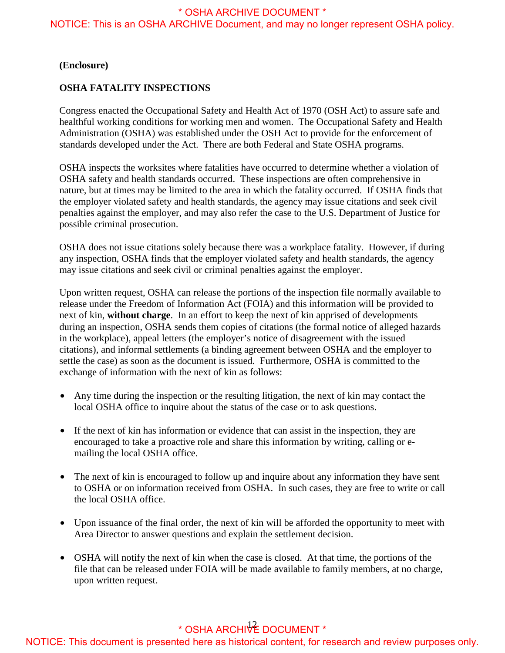NOTICE: This is an OSHA ARCHIVE Document, and may no longer represent OSHA policy.

#### **(Enclosure)**

#### **OSHA FATALITY INSPECTIONS**

Congress enacted the Occupational Safety and Health Act of 1970 (OSH Act) to assure safe and healthful working conditions for working men and women. The Occupational Safety and Health Administration (OSHA) was established under the OSH Act to provide for the enforcement of standards developed under the Act. There are both Federal and State OSHA programs.

nature, but at times may be limited to the area in which the fatality occurred. If OSHA finds that OSHA inspects the worksites where fatalities have occurred to determine whether a violation of OSHA safety and health standards occurred. These inspections are often comprehensive in the employer violated safety and health standards, the agency may issue citations and seek civil penalties against the employer, and may also refer the case to the U.S. Department of Justice for possible criminal prosecution.

OSHA does not issue citations solely because there was a workplace fatality. However, if during any inspection, OSHA finds that the employer violated safety and health standards, the agency may issue citations and seek civil or criminal penalties against the employer.

Upon written request, OSHA can release the portions of the inspection file normally available to release under the Freedom of Information Act (FOIA) and this information will be provided to next of kin, **without charge**. In an effort to keep the next of kin apprised of developments during an inspection, OSHA sends them copies of citations (the formal notice of alleged hazards in the workplace), appeal letters (the employer's notice of disagreement with the issued citations), and informal settlements (a binding agreement between OSHA and the employer to settle the case) as soon as the document is issued. Furthermore, OSHA is committed to the exchange of information with the next of kin as follows:

- Any time during the inspection or the resulting litigation, the next of kin may contact the local OSHA office to inquire about the status of the case or to ask questions.
- If the next of kin has information or evidence that can assist in the inspection, they are encouraged to take a proactive role and share this information by writing, calling or emailing the local OSHA office.
- to OSHA or on information received from OSHA. In such cases, they are free to write or call • The next of kin is encouraged to follow up and inquire about any information they have sent the local OSHA office.
- Upon issuance of the final order, the next of kin will be afforded the opportunity to meet with Area Director to answer questions and explain the settlement decision.
- OSHA will notify the next of kin when the case is closed. At that time, the portions of the file that can be released under FOIA will be made available to family members, at no charge, upon written request.

# \* OSHA ARCHIVE DOCUMENT \*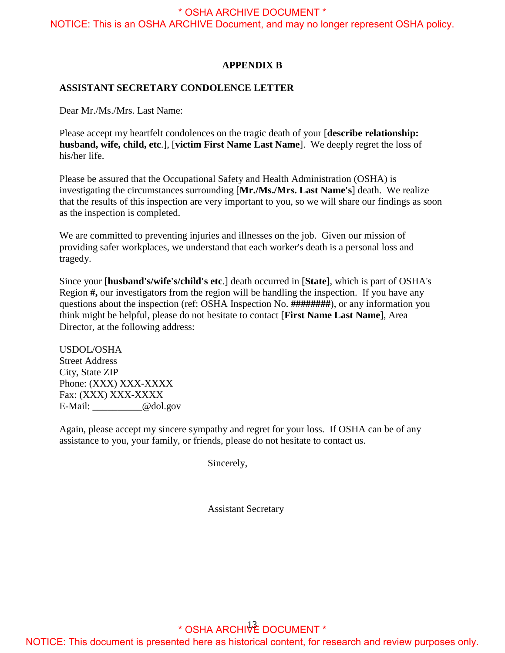<span id="page-15-0"></span>NOTICE: This is an OSHA ARCHIVE Document, and may no longer represent OSHA policy.

#### **APPENDIX B**

#### **ASSISTANT SECRETARY CONDOLENCE LETTER**

Dear Mr./Ms./Mrs. Last Name:

Please accept my heartfelt condolences on the tragic death of your [**describe relationship: husband, wife, child, etc**.], [**victim First Name Last Name**]. We deeply regret the loss of his/her life.

Please be assured that the Occupational Safety and Health Administration (OSHA) is investigating the circumstances surrounding [**Mr./Ms./Mrs. Last Name's**] death. We realize that the results of this inspection are very important to you, so we will share our findings as soon as the inspection is completed.

We are committed to preventing injuries and illnesses on the job. Given our mission of providing safer workplaces, we understand that each worker's death is a personal loss and tragedy.

Since your [**husband's/wife's/child's etc**.] death occurred in [**State**], which is part of OSHA's Region **#,** our investigators from the region will be handling the inspection. If you have any questions about the inspection (ref: OSHA Inspection No. **########**), or any information you think might be helpful, please do not hesitate to contact [**First Name Last Name**], Area Director, at the following address:

USDOL/OSHA Street Address City, State ZIP Phone: (XXX) XXX-XXXX Fax: (XXX) XXX-XXXX E-Mail: @dol.gov

Again, please accept my sincere sympathy and regret for your loss. If OSHA can be of any assistance to you, your family, or friends, please do not hesitate to contact us.

Sincerely,

Assistant Secretary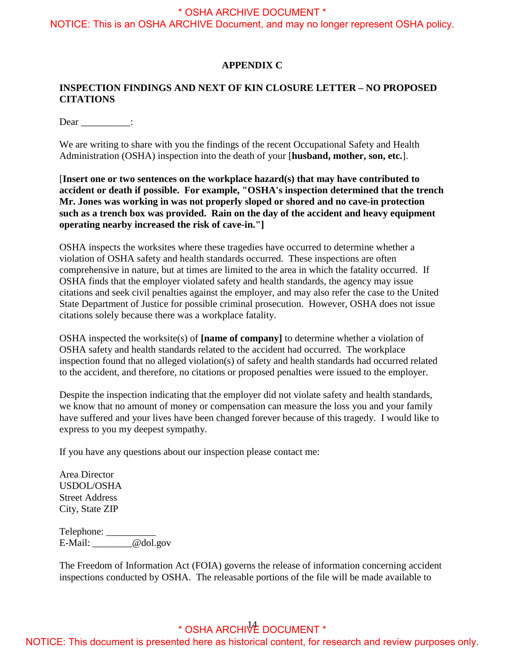<span id="page-16-0"></span>NOTICE: This is an OSHA ARCHIVE Document, and may no longer represent OSHA policy.

#### **APPENDIX C**

#### **INSPECTION FINDINGS AND NEXT OF KIN CLOSURE LETTER – NO PROPOSED CITATIONS**

Dear :

We are writing to share with you the findings of the recent Occupational Safety and Health Administration (OSHA) inspection into the death of your [**husband, mother, son, etc.**].

[**Insert one or two sentences on the workplace hazard(s) that may have contributed to accident or death if possible. For example, "OSHA's inspection determined that the trench Mr. Jones was working in was not properly sloped or shored and no cave-in protection such as a trench box was provided. Rain on the day of the accident and heavy equipment operating nearby increased the risk of cave-in."]** 

comprehensive in nature, but at times are limited to the area in which the fatality occurred. If OSHA inspects the worksites where these tragedies have occurred to determine whether a violation of OSHA safety and health standards occurred. These inspections are often OSHA finds that the employer violated safety and health standards, the agency may issue citations and seek civil penalties against the employer, and may also refer the case to the United State Department of Justice for possible criminal prosecution. However, OSHA does not issue citations solely because there was a workplace fatality.

OSHA inspected the worksite(s) of **[name of company]** to determine whether a violation of OSHA safety and health standards related to the accident had occurred. The workplace inspection found that no alleged violation(s) of safety and health standards had occurred related to the accident, and therefore, no citations or proposed penalties were issued to the employer.

 have suffered and your lives have been changed forever because of this tragedy. I would like to Despite the inspection indicating that the employer did not violate safety and health standards, we know that no amount of money or compensation can measure the loss you and your family express to you my deepest sympathy.

If you have any questions about our inspection please contact me:

Area Director USDOL/OSHA Street Address City, State ZIP

Telephone: \_\_\_\_\_\_\_\_\_\_\_\_\_ E-Mail: \_\_\_\_\_\_\_\_@dol.gov

 The Freedom of Information Act (FOIA) governs the release of information concerning accident inspections conducted by OSHA. The releasable portions of the file will be made available to

# $^*$  OSHA ARCHI $\sqrt{2}$  DOCUMENT  $^*$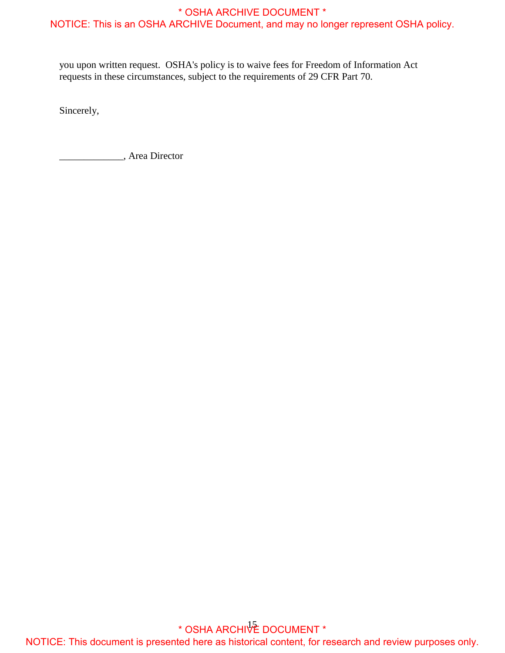you upon written request. OSHA's policy is to waive fees for Freedom of Information Act requests in these circumstances, subject to the requirements of 29 CFR Part 70.

Sincerely,

Sincerely, Area Director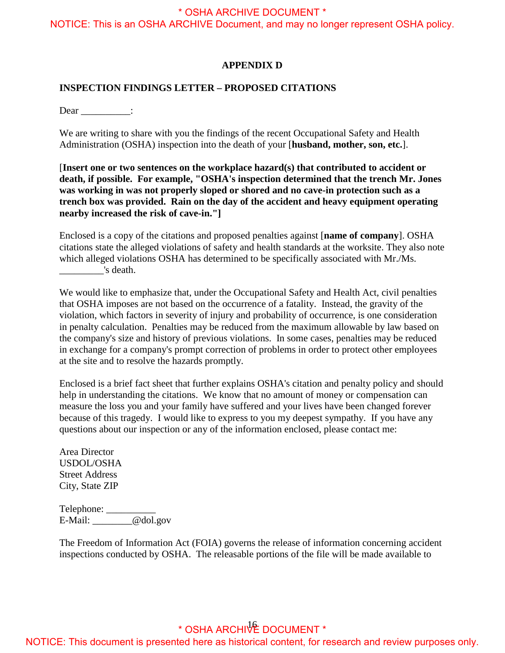<span id="page-18-0"></span>NOTICE: This is an OSHA ARCHIVE Document, and may no longer represent OSHA policy.

#### **APPENDIX D**

#### **INSPECTION FINDINGS LETTER – PROPOSED CITATIONS**

Dear :

We are writing to share with you the findings of the recent Occupational Safety and Health Administration (OSHA) inspection into the death of your [**husband, mother, son, etc.**].

 **was working in was not properly sloped or shored and no cave-in protection such as a**  [**Insert one or two sentences on the workplace hazard(s) that contributed to accident or death, if possible. For example, "OSHA's inspection determined that the trench Mr. Jones trench box was provided. Rain on the day of the accident and heavy equipment operating nearby increased the risk of cave-in."]** 

Enclosed is a copy of the citations and proposed penalties against [**name of company**]. OSHA citations state the alleged violations of safety and health standards at the worksite. They also note which alleged violations OSHA has determined to be specifically associated with Mr./Ms. \_\_\_\_\_\_\_\_\_'s death.

 that OSHA imposes are not based on the occurrence of a fatality. Instead, the gravity of the We would like to emphasize that, under the Occupational Safety and Health Act, civil penalties violation, which factors in severity of injury and probability of occurrence*,* is one consideration in penalty calculation. Penalties may be reduced from the maximum allowable by law based on the company's size and history of previous violations. In some cases, penalties may be reduced in exchange for a company's prompt correction of problems in order to protect other employees at the site and to resolve the hazards promptly.

 because of this tragedy. I would like to express to you my deepest sympathy. If you have any Enclosed is a brief fact sheet that further explains OSHA's citation and penalty policy and should help in understanding the citations. We know that no amount of money or compensation can measure the loss you and your family have suffered and your lives have been changed forever questions about our inspection or any of the information enclosed, please contact me:

Area Director USDOL/OSHA Street Address City, State ZIP

Telephone: \_\_\_\_\_\_\_\_\_\_\_\_\_ E-Mail: \_\_\_\_\_\_\_\_@dol.gov

 The Freedom of Information Act (FOIA) governs the release of information concerning accident inspections conducted by OSHA. The releasable portions of the file will be made available to

# 16 \* OSHA ARCHIVE DOCUMENT \*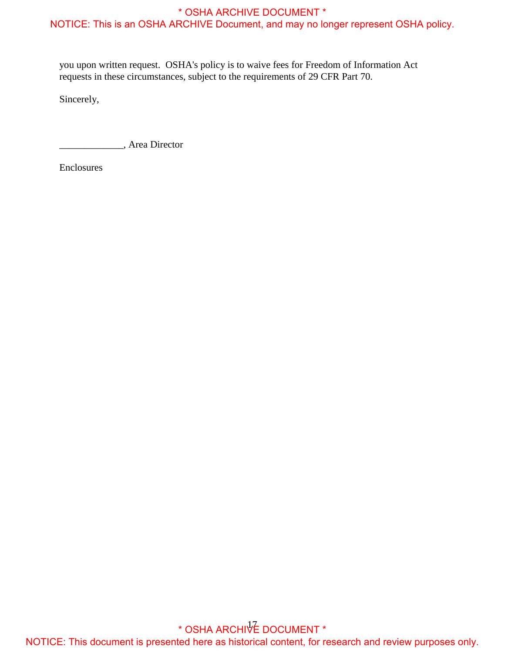you upon written request. OSHA's policy is to waive fees for Freedom of Information Act requests in these circumstances, subject to the requirements of 29 CFR Part 70.

Sincerely,

Sincerely, Area Director

Enclosures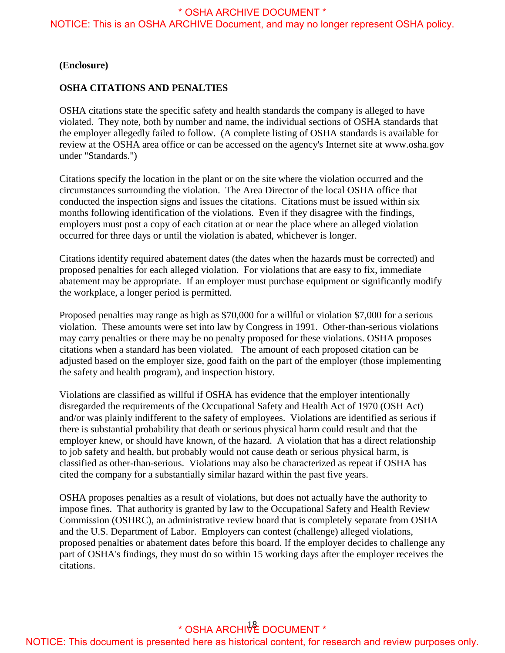NOTICE: This is an OSHA ARCHIVE Document, and may no longer represent OSHA policy.

#### **(Enclosure)**

#### **OSHA CITATIONS AND PENALTIES**

OSHA citations state the specific safety and health standards the company is alleged to have violated. They note, both by number and name, the individual sections of OSHA standards that the employer allegedly failed to follow. (A complete listing of OSHA standards is available for review at the OSHA area office or can be accessed on the agency's Internet site at <www.osha.gov> under "Standards.")

Citations specify the location in the plant or on the site where the violation occurred and the circumstances surrounding the violation. The Area Director of the local OSHA office that conducted the inspection signs and issues the citations. Citations must be issued within six months following identification of the violations. Even if they disagree with the findings, employers must post a copy of each citation at or near the place where an alleged violation occurred for three days or until the violation is abated, whichever is longer.

Citations identify required abatement dates (the dates when the hazards must be corrected) and proposed penalties for each alleged violation. For violations that are easy to fix, immediate abatement may be appropriate. If an employer must purchase equipment or significantly modify the workplace, a longer period is permitted.

Proposed penalties may range as high as \$70,000 for a willful or violation \$7,000 for a serious violation. These amounts were set into law by Congress in 1991. Other-than-serious violations may carry penalties or there may be no penalty proposed for these violations. OSHA proposes citations when a standard has been violated. The amount of each proposed citation can be adjusted based on the employer size, good faith on the part of the employer (those implementing the safety and health program), and inspection history.

Violations are classified as willful if OSHA has evidence that the employer intentionally disregarded the requirements of the Occupational Safety and Health Act of 1970 (OSH Act) and/or was plainly indifferent to the safety of employees. Violations are identified as serious if there is substantial probability that death or serious physical harm could result and that the employer knew, or should have known, of the hazard. A violation that has a direct relationship to job safety and health, but probably would not cause death or serious physical harm, is classified as other-than-serious. Violations may also be characterized as repeat if OSHA has cited the company for a substantially similar hazard within the past five years.

OSHA proposes penalties as a result of violations, but does not actually have the authority to impose fines. That authority is granted by law to the Occupational Safety and Health Review Commission (OSHRC), an administrative review board that is completely separate from OSHA and the U.S. Department of Labor. Employers can contest (challenge) alleged violations, proposed penalties or abatement dates before this board. If the employer decides to challenge any part of OSHA's findings, they must do so within 15 working days after the employer receives the citations.

# \* OSHA ARCHIVE DOCUMENT \*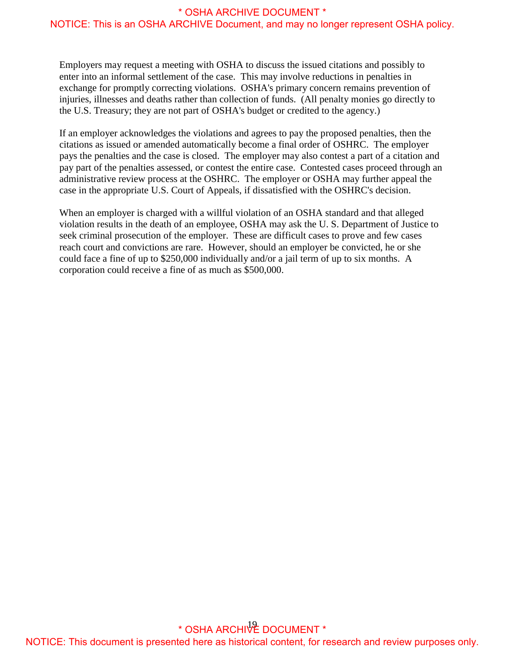Employers may request a meeting with OSHA to discuss the issued citations and possibly to enter into an informal settlement of the case. This may involve reductions in penalties in exchange for promptly correcting violations. OSHA's primary concern remains prevention of injuries, illnesses and deaths rather than collection of funds. (All penalty monies go directly to the U.S. Treasury; they are not part of OSHA's budget or credited to the agency.)

If an employer acknowledges the violations and agrees to pay the proposed penalties, then the citations as issued or amended automatically become a final order of OSHRC. The employer pays the penalties and the case is closed. The employer may also contest a part of a citation and pay part of the penalties assessed, or contest the entire case. Contested cases proceed through an administrative review process at the OSHRC. The employer or OSHA may further appeal the case in the appropriate U.S. Court of Appeals, if dissatisfied with the OSHRC's decision.

When an employer is charged with a willful violation of an OSHA standard and that alleged violation results in the death of an employee, OSHA may ask the U. S. Department of Justice to seek criminal prosecution of the employer. These are difficult cases to prove and few cases reach court and convictions are rare. However, should an employer be convicted, he or she could face a fine of up to \$250,000 individually and/or a jail term of up to six months. A corporation could receive a fine of as much as \$500,000.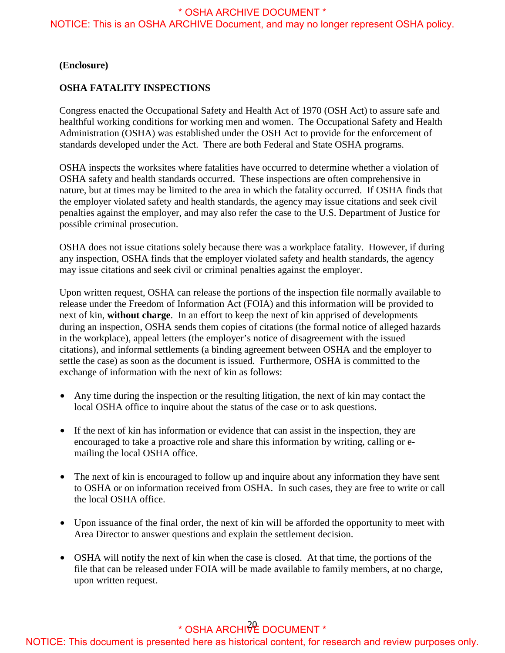NOTICE: This is an OSHA ARCHIVE Document, and may no longer represent OSHA policy.

#### **(Enclosure)**

#### **OSHA FATALITY INSPECTIONS**

Congress enacted the Occupational Safety and Health Act of 1970 (OSH Act) to assure safe and healthful working conditions for working men and women. The Occupational Safety and Health Administration (OSHA) was established under the OSH Act to provide for the enforcement of standards developed under the Act. There are both Federal and State OSHA programs.

nature, but at times may be limited to the area in which the fatality occurred. If OSHA finds that OSHA inspects the worksites where fatalities have occurred to determine whether a violation of OSHA safety and health standards occurred. These inspections are often comprehensive in the employer violated safety and health standards, the agency may issue citations and seek civil penalties against the employer, and may also refer the case to the U.S. Department of Justice for possible criminal prosecution.

OSHA does not issue citations solely because there was a workplace fatality. However, if during any inspection, OSHA finds that the employer violated safety and health standards, the agency may issue citations and seek civil or criminal penalties against the employer.

Upon written request, OSHA can release the portions of the inspection file normally available to release under the Freedom of Information Act (FOIA) and this information will be provided to next of kin, **without charge**. In an effort to keep the next of kin apprised of developments during an inspection, OSHA sends them copies of citations (the formal notice of alleged hazards in the workplace), appeal letters (the employer's notice of disagreement with the issued citations), and informal settlements (a binding agreement between OSHA and the employer to settle the case) as soon as the document is issued. Furthermore, OSHA is committed to the exchange of information with the next of kin as follows:

- Any time during the inspection or the resulting litigation, the next of kin may contact the local OSHA office to inquire about the status of the case or to ask questions.
- If the next of kin has information or evidence that can assist in the inspection, they are encouraged to take a proactive role and share this information by writing, calling or emailing the local OSHA office.
- to OSHA or on information received from OSHA. In such cases, they are free to write or call • The next of kin is encouraged to follow up and inquire about any information they have sent the local OSHA office.
- Upon issuance of the final order, the next of kin will be afforded the opportunity to meet with Area Director to answer questions and explain the settlement decision.
- OSHA will notify the next of kin when the case is closed. At that time, the portions of the file that can be released under FOIA will be made available to family members, at no charge, upon written request.

# $^*$  OSHA ARCHI $\sqrt[3]{E}$  DOCUMENT  $^*$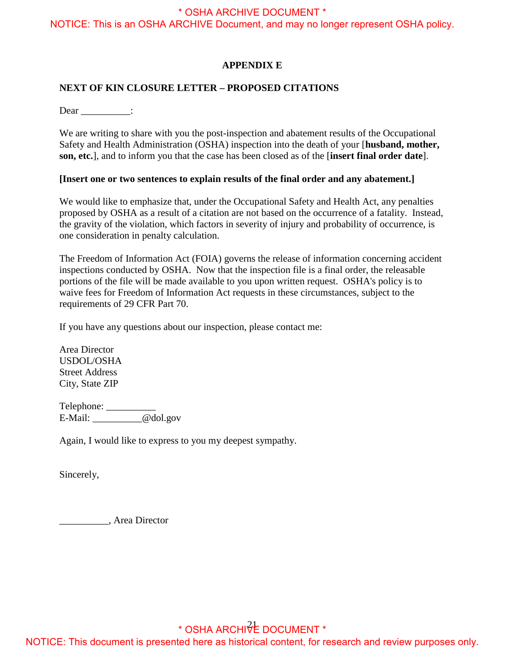<span id="page-23-0"></span>NOTICE: This is an OSHA ARCHIVE Document, and may no longer represent OSHA policy.

#### **APPENDIX E**

#### **NEXT OF KIN CLOSURE LETTER – PROPOSED CITATIONS**

Dear :

We are writing to share with you the post-inspection and abatement results of the Occupational Safety and Health Administration (OSHA) inspection into the death of your [**husband, mother, son, etc.**], and to inform you that the case has been closed as of the [**insert final order date**].

#### **[Insert one or two sentences to explain results of the final order and any abatement.]**

 proposed by OSHA as a result of a citation are not based on the occurrence of a fatality. Instead, We would like to emphasize that, under the Occupational Safety and Health Act, any penalties the gravity of the violation, which factors in severity of injury and probability of occurrence*,* is one consideration in penalty calculation.

 The Freedom of Information Act (FOIA) governs the release of information concerning accident inspections conducted by OSHA. Now that the inspection file is a final order, the releasable portions of the file will be made available to you upon written request. OSHA's policy is to waive fees for Freedom of Information Act requests in these circumstances, subject to the requirements of 29 CFR Part 70.

If you have any questions about our inspection, please contact me:

Area Director USDOL/OSHA Street Address City, State ZIP

Telephone: \_\_\_\_\_\_\_\_\_\_\_\_\_ E-Mail: \_\_\_\_\_\_\_\_\_\_@dol.gov

Again, I would like to express to you my deepest sympathy.

Sincerely,

Sincerely, \_\_\_\_\_\_\_\_\_\_, Area Director